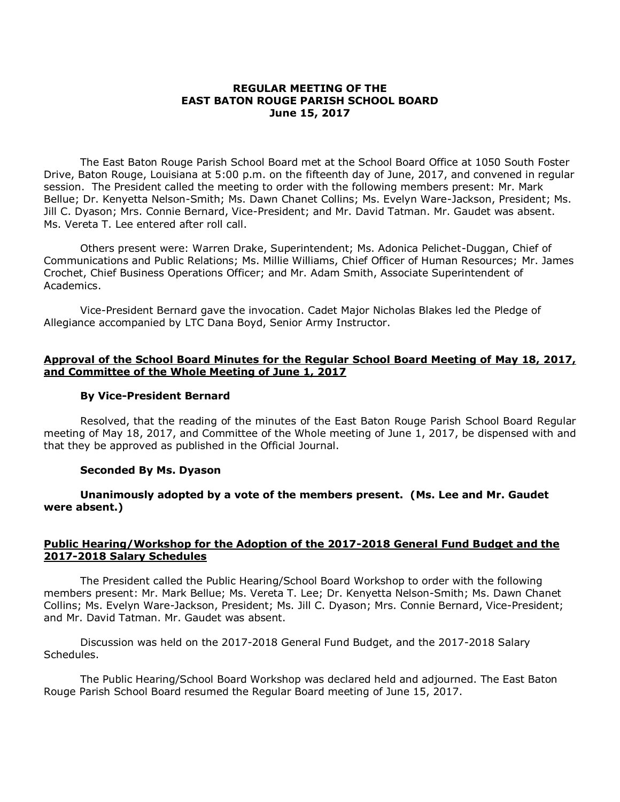### **REGULAR MEETING OF THE EAST BATON ROUGE PARISH SCHOOL BOARD June 15, 2017**

The East Baton Rouge Parish School Board met at the School Board Office at 1050 South Foster Drive, Baton Rouge, Louisiana at 5:00 p.m. on the fifteenth day of June, 2017, and convened in regular session. The President called the meeting to order with the following members present: Mr. Mark Bellue; Dr. Kenyetta Nelson-Smith; Ms. Dawn Chanet Collins; Ms. Evelyn Ware-Jackson, President; Ms. Jill C. Dyason; Mrs. Connie Bernard, Vice-President; and Mr. David Tatman. Mr. Gaudet was absent. Ms. Vereta T. Lee entered after roll call.

Others present were: Warren Drake, Superintendent; Ms. Adonica Pelichet-Duggan, Chief of Communications and Public Relations; Ms. Millie Williams, Chief Officer of Human Resources; Mr. James Crochet, Chief Business Operations Officer; and Mr. Adam Smith, Associate Superintendent of Academics.

Vice-President Bernard gave the invocation. Cadet Major Nicholas Blakes led the Pledge of Allegiance accompanied by LTC Dana Boyd, Senior Army Instructor.

### **Approval of the School Board Minutes for the Regular School Board Meeting of May 18, 2017, and Committee of the Whole Meeting of June 1, 2017**

# **By Vice-President Bernard**

Resolved, that the reading of the minutes of the East Baton Rouge Parish School Board Regular meeting of May 18, 2017, and Committee of the Whole meeting of June 1, 2017, be dispensed with and that they be approved as published in the Official Journal.

### **Seconded By Ms. Dyason**

**Unanimously adopted by a vote of the members present. (Ms. Lee and Mr. Gaudet were absent.)**

# **Public Hearing/Workshop for the Adoption of the 2017-2018 General Fund Budget and the 2017-2018 Salary Schedules**

The President called the Public Hearing/School Board Workshop to order with the following members present: Mr. Mark Bellue; Ms. Vereta T. Lee; Dr. Kenyetta Nelson-Smith; Ms. Dawn Chanet Collins; Ms. Evelyn Ware-Jackson, President; Ms. Jill C. Dyason; Mrs. Connie Bernard, Vice-President; and Mr. David Tatman. Mr. Gaudet was absent.

Discussion was held on the 2017-2018 General Fund Budget, and the 2017-2018 Salary Schedules.

The Public Hearing/School Board Workshop was declared held and adjourned. The East Baton Rouge Parish School Board resumed the Regular Board meeting of June 15, 2017.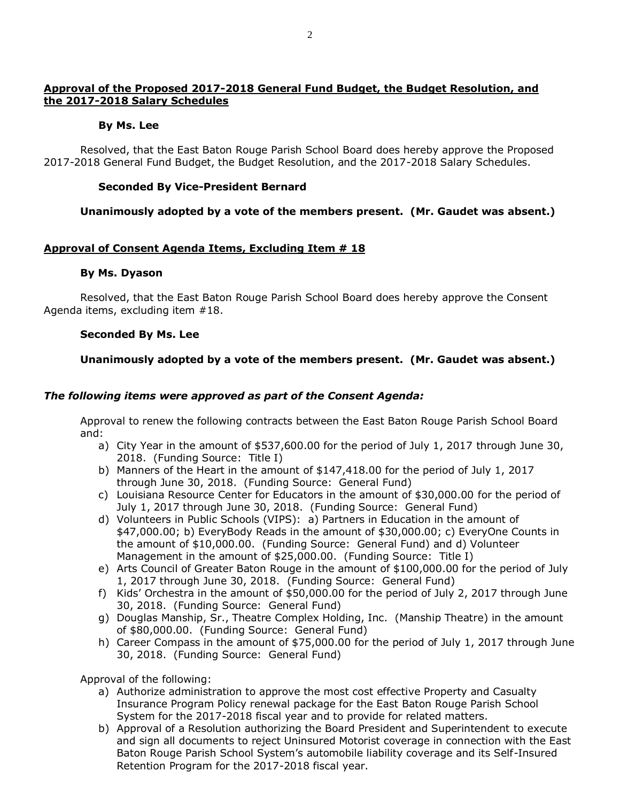# **Approval of the Proposed 2017-2018 General Fund Budget, the Budget Resolution, and the 2017-2018 Salary Schedules**

# **By Ms. Lee**

Resolved, that the East Baton Rouge Parish School Board does hereby approve the Proposed 2017-2018 General Fund Budget, the Budget Resolution, and the 2017-2018 Salary Schedules.

# **Seconded By Vice-President Bernard**

# **Unanimously adopted by a vote of the members present. (Mr. Gaudet was absent.)**

# **Approval of Consent Agenda Items, Excluding Item # 18**

# **By Ms. Dyason**

Resolved, that the East Baton Rouge Parish School Board does hereby approve the Consent Agenda items, excluding item #18.

# **Seconded By Ms. Lee**

# **Unanimously adopted by a vote of the members present. (Mr. Gaudet was absent.)**

# *The following items were approved as part of the Consent Agenda:*

Approval to renew the following contracts between the East Baton Rouge Parish School Board and:

- a) City Year in the amount of \$537,600.00 for the period of July 1, 2017 through June 30, 2018. (Funding Source: Title I)
- b) Manners of the Heart in the amount of \$147,418.00 for the period of July 1, 2017 through June 30, 2018. (Funding Source: General Fund)
- c) Louisiana Resource Center for Educators in the amount of \$30,000.00 for the period of July 1, 2017 through June 30, 2018. (Funding Source: General Fund)
- d) Volunteers in Public Schools (VIPS): a) Partners in Education in the amount of \$47,000.00; b) EveryBody Reads in the amount of \$30,000.00; c) EveryOne Counts in the amount of \$10,000.00. (Funding Source: General Fund) and d) Volunteer Management in the amount of \$25,000.00. (Funding Source: Title I)
- e) Arts Council of Greater Baton Rouge in the amount of \$100,000.00 for the period of July 1, 2017 through June 30, 2018. (Funding Source: General Fund)
- f) Kids' Orchestra in the amount of \$50,000.00 for the period of July 2, 2017 through June 30, 2018. (Funding Source: General Fund)
- g) Douglas Manship, Sr., Theatre Complex Holding, Inc. (Manship Theatre) in the amount of \$80,000.00. (Funding Source: General Fund)
- h) Career Compass in the amount of \$75,000.00 for the period of July 1, 2017 through June 30, 2018. (Funding Source: General Fund)

Approval of the following:

- a) Authorize administration to approve the most cost effective Property and Casualty Insurance Program Policy renewal package for the East Baton Rouge Parish School System for the 2017-2018 fiscal year and to provide for related matters.
- b) Approval of a Resolution authorizing the Board President and Superintendent to execute and sign all documents to reject Uninsured Motorist coverage in connection with the East Baton Rouge Parish School System's automobile liability coverage and its Self-Insured Retention Program for the 2017-2018 fiscal year.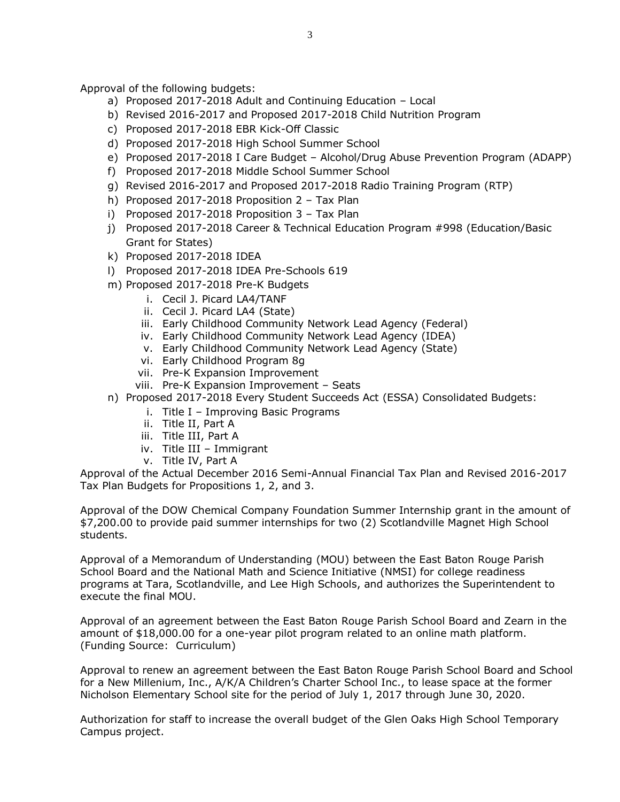Approval of the following budgets:

- a) Proposed 2017-2018 Adult and Continuing Education Local
- b) Revised 2016-2017 and Proposed 2017-2018 Child Nutrition Program
- c) Proposed 2017-2018 EBR Kick-Off Classic
- d) Proposed 2017-2018 High School Summer School
- e) Proposed 2017-2018 I Care Budget Alcohol/Drug Abuse Prevention Program (ADAPP)
- f) Proposed 2017-2018 Middle School Summer School
- g) Revised 2016-2017 and Proposed 2017-2018 Radio Training Program (RTP)
- h) Proposed 2017-2018 Proposition 2 Tax Plan
- i) Proposed 2017-2018 Proposition 3 Tax Plan
- j) Proposed 2017-2018 Career & Technical Education Program #998 (Education/Basic Grant for States)
- k) Proposed 2017-2018 IDEA
- l) Proposed 2017-2018 IDEA Pre-Schools 619
- m) Proposed 2017-2018 Pre-K Budgets
	- i. Cecil J. Picard LA4/TANF
	- ii. Cecil J. Picard LA4 (State)
	- iii. Early Childhood Community Network Lead Agency (Federal)
	- iv. Early Childhood Community Network Lead Agency (IDEA)
	- v. Early Childhood Community Network Lead Agency (State)
	- vi. Early Childhood Program 8g
	- vii. Pre-K Expansion Improvement
	- viii. Pre-K Expansion Improvement Seats
- n) Proposed 2017-2018 Every Student Succeeds Act (ESSA) Consolidated Budgets:
	- i. Title I Improving Basic Programs
	- ii. Title II, Part A
	- iii. Title III, Part A
	- iv. Title III Immigrant
	- v. Title IV, Part A

Approval of the Actual December 2016 Semi-Annual Financial Tax Plan and Revised 2016-2017 Tax Plan Budgets for Propositions 1, 2, and 3.

Approval of the DOW Chemical Company Foundation Summer Internship grant in the amount of \$7,200.00 to provide paid summer internships for two (2) Scotlandville Magnet High School students.

Approval of a Memorandum of Understanding (MOU) between the East Baton Rouge Parish School Board and the National Math and Science Initiative (NMSI) for college readiness programs at Tara, Scotlandville, and Lee High Schools, and authorizes the Superintendent to execute the final MOU.

Approval of an agreement between the East Baton Rouge Parish School Board and Zearn in the amount of \$18,000.00 for a one-year pilot program related to an online math platform. (Funding Source: Curriculum)

Approval to renew an agreement between the East Baton Rouge Parish School Board and School for a New Millenium, Inc., A/K/A Children's Charter School Inc., to lease space at the former Nicholson Elementary School site for the period of July 1, 2017 through June 30, 2020.

Authorization for staff to increase the overall budget of the Glen Oaks High School Temporary Campus project.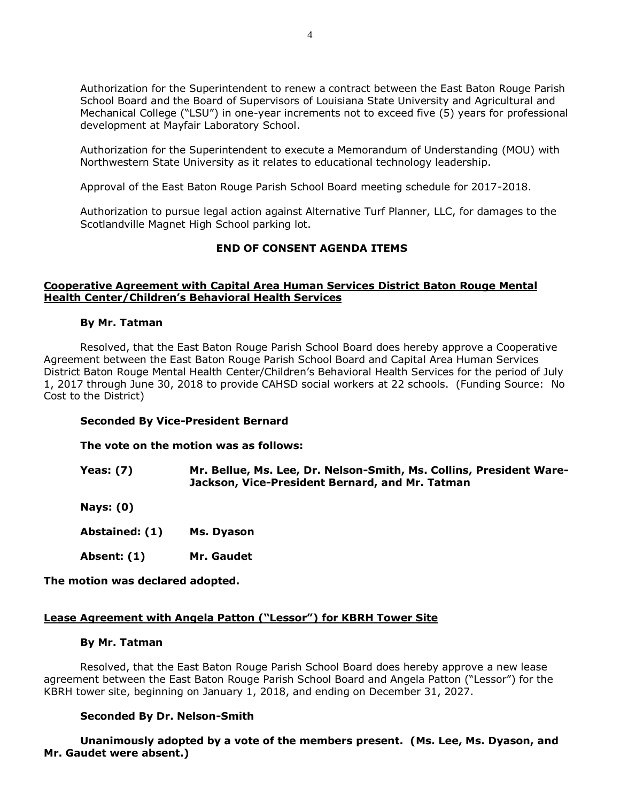Authorization for the Superintendent to renew a contract between the East Baton Rouge Parish School Board and the Board of Supervisors of Louisiana State University and Agricultural and Mechanical College ("LSU") in one-year increments not to exceed five (5) years for professional development at Mayfair Laboratory School.

Authorization for the Superintendent to execute a Memorandum of Understanding (MOU) with Northwestern State University as it relates to educational technology leadership.

Approval of the East Baton Rouge Parish School Board meeting schedule for 2017-2018.

Authorization to pursue legal action against Alternative Turf Planner, LLC, for damages to the Scotlandville Magnet High School parking lot.

# **END OF CONSENT AGENDA ITEMS**

### **Cooperative Agreement with Capital Area Human Services District Baton Rouge Mental Health Center/Children's Behavioral Health Services**

### **By Mr. Tatman**

Resolved, that the East Baton Rouge Parish School Board does hereby approve a Cooperative Agreement between the East Baton Rouge Parish School Board and Capital Area Human Services District Baton Rouge Mental Health Center/Children's Behavioral Health Services for the period of July 1, 2017 through June 30, 2018 to provide CAHSD social workers at 22 schools. (Funding Source: No Cost to the District)

# **Seconded By Vice-President Bernard**

### **The vote on the motion was as follows:**

**Yeas: (7) Mr. Bellue, Ms. Lee, Dr. Nelson-Smith, Ms. Collins, President Ware-Jackson, Vice-President Bernard, and Mr. Tatman** 

**Nays: (0)**

- **Abstained: (1) Ms. Dyason**
- **Absent: (1) Mr. Gaudet**

**The motion was declared adopted.**

# **Lease Agreement with Angela Patton ("Lessor") for KBRH Tower Site**

### **By Mr. Tatman**

Resolved, that the East Baton Rouge Parish School Board does hereby approve a new lease agreement between the East Baton Rouge Parish School Board and Angela Patton ("Lessor") for the KBRH tower site, beginning on January 1, 2018, and ending on December 31, 2027.

### **Seconded By Dr. Nelson-Smith**

**Unanimously adopted by a vote of the members present. (Ms. Lee, Ms. Dyason, and Mr. Gaudet were absent.)**